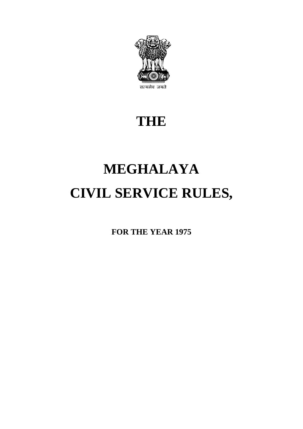

# **THE**

# **MEGHALAYA CIVIL SERVICE RULES,**

**FOR THE YEAR 1975**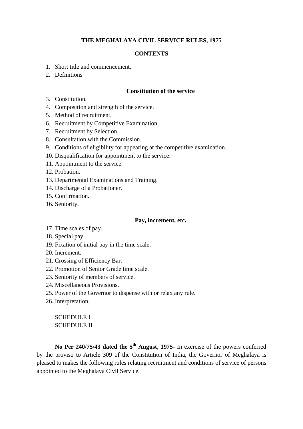#### **CONTENTS**

- 1. Short title and commencement.
- 2. Definitions

#### **Constitution of the service**

- 3. Constitution.
- 4. Composition and strength of the service.
- 5. Method of recruitment.
- 6. Recruitment by Competitive Examination,
- 7. Recruitment by Selection.
- 8. Consultation with the Commission.
- 9. Conditions of eligibility for appearing at the competitive examination.
- 10. Disqualification for appointment to the service.
- 11. Appointment to the service.
- 12. Probation.
- 13. Departmental Examinations and Training.
- 14. Discharge of a Probationer.
- 15. Confirmation.
- 16. Seniority.

#### **Pay, increment, etc.**

- 17. Time scales of pay.
- 18. Special pay
- 19. Fixation of initial pay in the time scale.
- 20. Increment.
- 21. Crossing of Efficiency Bar.
- 22. Promotion of Senior Grade time scale.
- 23. Seniority of members of service.
- 24. Miscellaneous Provisions.
- 25. Power of the Governor to dispense with or relax any rule.
- 26. Interpretation.

### SCHEDULE I SCHEDULE II

No Per 240/75/43 dated the 5<sup>th</sup> August, 1975- In exercise of the powers conferred by the proviso to Article 309 of the Constitution of India, the Governor of Meghalaya is pleased to makes the following rules relating recruitment and conditions of service of persons appointed to the Meghalaya Civil Service.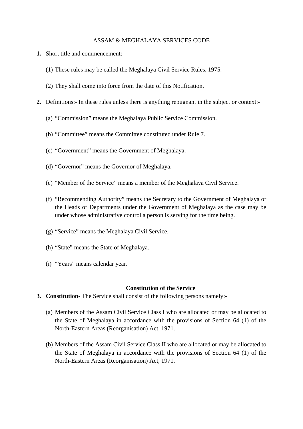#### ASSAM & MEGHALAYA SERVICES CODE

- **1.** Short title and commencement:-
	- (1) These rules may be called the Meghalaya Civil Service Rules, 1975.
	- (2) They shall come into force from the date of this Notification.
- **2.** Definitions:- In these rules unless there is anything repugnant in the subject or context:-
	- (a) "Commission" means the Meghalaya Public Service Commission.
	- (b) "Committee" means the Committee constituted under Rule 7.
	- (c) "Government" means the Government of Meghalaya.
	- (d) "Governor" means the Governor of Meghalaya.
	- (e) "Member of the Service" means a member of the Meghalaya Civil Service.
	- (f) "Recommending Authority" means the Secretary to the Government of Meghalaya or the Heads of Departments under the Government of Meghalaya as the case may be under whose administrative control a person is serving for the time being.
	- (g) "Service" means the Meghalaya Civil Service.
	- (h) "State" means the State of Meghalaya.
	- (i) "Years" means calendar year.

#### **Constitution of the Service**

- **3. Constitution-** The Service shall consist of the following persons namely:-
	- (a) Members of the Assam Civil Service Class I who are allocated or may be allocated to the State of Meghalaya in accordance with the provisions of Section 64 (1) of the North-Eastern Areas (Reorganisation) Act, 1971.
	- (b) Members of the Assam Civil Service Class II who are allocated or may be allocated to the State of Meghalaya in accordance with the provisions of Section 64 (1) of the North-Eastern Areas (Reorganisation) Act, 1971.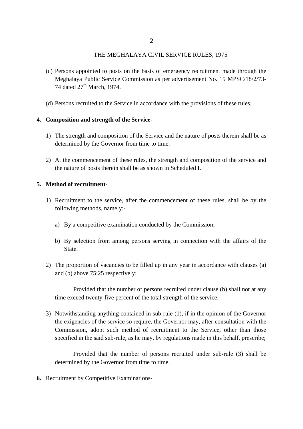- (c) Persons appointed to posts on the basis of emergency recruitment made through the Meghalaya Public Service Commission as per advertisement No. 15 MPSC/18/2/73- 74 dated  $27<sup>th</sup>$  March, 1974.
- (d) Persons recruited to the Service in accordance with the provisions of these rules.

#### **4. Composition and strength of the Service-**

- 1) The strength and composition of the Service and the nature of posts therein shall be as determined by the Governor from time to time.
- 2) At the commencement of these rules, the strength and composition of the service and the nature of posts therein shall be as shown in Scheduled I.

#### **5. Method of recruitment-**

- 1) Recruitment to the service, after the commencement of these rules, shall be by the following methods, namely:
	- a) By a competitive examination conducted by the Commission;
	- b) By selection from among persons serving in connection with the affairs of the State.
- 2) The proportion of vacancies to be filled up in any year in accordance with clauses (a) and (b) above 75:25 respectively;

Provided that the number of persons recruited under clause (b) shall not at any time exceed twenty-five percent of the total strength of the service.

3) Notwithstanding anything contained in sub-rule (1), if in the opinion of the Governor the exigencies of the service so require, the Governor may, after consultation with the Commission, adopt such method of recruitment to the Service, other than those specified in the said sub-rule, as he may, by regulations made in this behalf, prescribe;

Provided that the number of persons recruited under sub-rule (3) shall be determined by the Governor from time to time.

**6.** Recruitment by Competitive Examinations-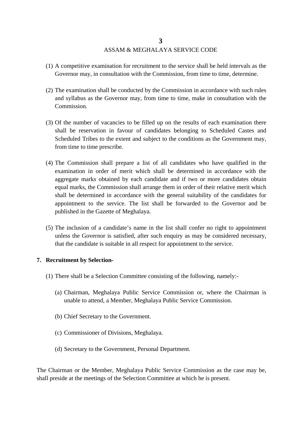## ASSAM & MEGHALAYA SERVICE CODE

- (1) A competitive examination for recruitment to the service shall be held intervals as the Governor may, in consultation with the Commission, from time to time, determine.
- (2) The examination shall be conducted by the Commission in accordance with such rules and syllabus as the Governor may, from time to time, make in consultation with the Commission.
- (3) Of the number of vacancies to be filled up on the results of each examination there shall be reservation in favour of candidates belonging to Scheduled Castes and Scheduled Tribes to the extent and subject to the conditions as the Government may, from time to time prescribe.
- (4) The Commission shall prepare a list of all candidates who have qualified in the examination in order of merit which shall be determined in accordance with the aggregate marks obtained by each candidate and if two or more candidates obtain equal marks, the Commission shall arrange them in order of their relative merit which shall be determined in accordance with the general suitability of the candidates for appointment to the service. The list shall be forwarded to the Governor and be published in the Gazette of Meghalaya.
- (5) The inclusion of a candidate's name in the list shall confer no right to appointment unless the Governor is satisfied, after such enquiry as may be considered necessary, that the candidate is suitable in all respect for appointment to the service.

#### **7. Recruitment by Selection-**

- (1) There shall be a Selection Committee consisting of the following, namely:-
	- (a) Chairman, Meghalaya Public Service Commission or, where the Chairman is unable to attend, a Member, Meghalaya Public Service Commission.
	- (b) Chief Secretary to the Government.
	- (c) Commissioner of Divisions, Meghalaya.
	- (d) Secretary to the Government, Personal Department.

The Chairman or the Member, Meghalaya Public Service Commission as the case may be, shall preside at the meetings of the Selection Committee at which he is present.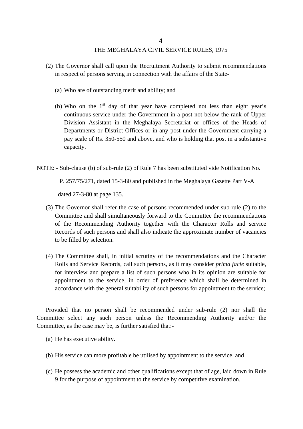- (2) The Governor shall call upon the Recruitment Authority to submit recommendations in respect of persons serving in connection with the affairs of the State-
	- (a) Who are of outstanding merit and ability; and
	- (b) Who on the  $1<sup>st</sup>$  day of that year have completed not less than eight year's continuous service under the Government in a post not below the rank of Upper Division Assistant in the Meghalaya Secretariat or offices of the Heads of Departments or District Offices or in any post under the Government carrying a pay scale of Rs. 350-550 and above, and who is holding that post in a substantive capacity.
- NOTE: Sub-clause (b) of sub-rule (2) of Rule 7 has been substituted vide Notification No.

P. 257/75/271, dated 15-3-80 and published in the Meghalaya Gazette Part V-A

dated 27-3-80 at page 135.

- (3) The Governor shall refer the case of persons recommended under sub-rule (2) to the Committee and shall simultaneously forward to the Committee the recommendations of the Recommending Authority together with the Character Rolls and service Records of such persons and shall also indicate the approximate number of vacancies to be filled by selection.
- (4) The Committee shall, in initial scrutiny of the recommendations and the Character Rolls and Service Records, call such persons, as it may consider *prima facie* suitable, for interview and prepare a list of such persons who in its opinion are suitable for appointment to the service, in order of preference which shall be determined in accordance with the general suitability of such persons for appointment to the service;

Provided that no person shall be recommended under sub-rule (2) nor shall the Committee select any such person unless the Recommending Authority and/or the Committee, as the case may be, is further satisfied that:-

- (a) He has executive ability.
- (b) His service can more profitable be utilised by appointment to the service, and
- (c) He possess the academic and other qualifications except that of age, laid down in Rule 9 for the purpose of appointment to the service by competitive examination.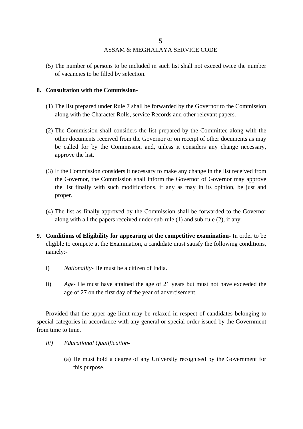(5) The number of persons to be included in such list shall not exceed twice the number of vacancies to be filled by selection.

#### **8. Consultation with the Commission-**

- (1) The list prepared under Rule 7 shall be forwarded by the Governor to the Commission along with the Character Rolls, service Records and other relevant papers.
- (2) The Commission shall considers the list prepared by the Committee along with the other documents received from the Governor or on receipt of other documents as may be called for by the Commission and, unless it considers any change necessary, approve the list.
- (3) If the Commission considers it necessary to make any change in the list received from the Governor, the Commission shall inform the Governor of Governor may approve the list finally with such modifications, if any as may in its opinion, be just and proper.
- (4) The list as finally approved by the Commission shall be forwarded to the Governor along with all the papers received under sub-rule (1) and sub-rule (2), if any.
- **9. Conditions of Eligibility for appearing at the competitive examination-** In order to be eligible to compete at the Examination, a candidate must satisfy the following conditions, namely:
	- i) *Nationality-* He must be a citizen of India.
	- ii) *Age-* He must have attained the age of 21 years but must not have exceeded the age of 27 on the first day of the year of advertisement.

Provided that the upper age limit may be relaxed in respect of candidates belonging to special categories in accordance with any general or special order issued by the Government from time to time.

- *iii) Educational Qualification-*
	- (a) He must hold a degree of any University recognised by the Government for this purpose.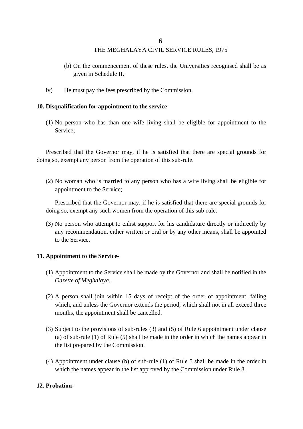- (b) On the commencement of these rules, the Universities recognised shall be as given in Schedule II.
- iv) He must pay the fees prescribed by the Commission.

#### **10. Disqualification for appointment to the service-**

(1) No person who has than one wife living shall be eligible for appointment to the Service;

Prescribed that the Governor may, if he is satisfied that there are special grounds for doing so, exempt any person from the operation of this sub-rule.

(2) No woman who is married to any person who has a wife living shall be eligible for appointment to the Service;

Prescribed that the Governor may, if he is satisfied that there are special grounds for doing so, exempt any such women from the operation of this sub-rule.

(3) No person who attempt to enlist support for his candidature directly or indirectly by any recommendation, either written or oral or by any other means, shall be appointed to the Service.

#### **11. Appointment to the Service-**

- (1) Appointment to the Service shall be made by the Governor and shall be notified in the *Gazette of Meghalaya.*
- (2) A person shall join within 15 days of receipt of the order of appointment, failing which, and unless the Governor extends the period, which shall not in all exceed three months, the appointment shall be cancelled.
- (3) Subject to the provisions of sub-rules (3) and (5) of Rule 6 appointment under clause (a) of sub-rule (1) of Rule (5) shall be made in the order in which the names appear in the list prepared by the Commission.
- (4) Appointment under clause (b) of sub-rule (1) of Rule 5 shall be made in the order in which the names appear in the list approved by the Commission under Rule 8.

#### **12. Probation-**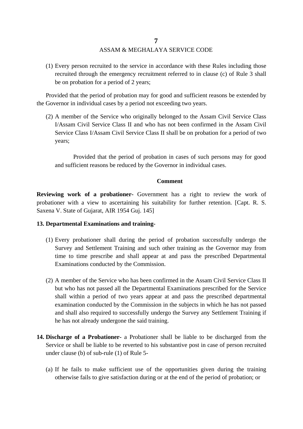### ASSAM & MEGHALAYA SERVICE CODE

(1) Every person recruited to the service in accordance with these Rules including those recruited through the emergency recruitment referred to in clause (c) of Rule 3 shall be on probation for a period of 2 years;

Provided that the period of probation may for good and sufficient reasons be extended by the Governor in individual cases by a period not exceeding two years.

(2) A member of the Service who originally belonged to the Assam Civil Service Class I/Assam Civil Service Class II and who has not been confirmed in the Assam Civil Service Class I/Assam Civil Service Class II shall be on probation for a period of two years;

Provided that the period of probation in cases of such persons may for good and sufficient reasons be reduced by the Governor in individual cases.

#### **Comment**

**Reviewing work of a probationer-** Government has a right to review the work of probationer with a view to ascertaining his suitability for further retention. [Capt. R. S. Saxena V. State of Gujarat, AIR 1954 Guj. 145]

#### **13. Departmental Examinations and training-**

- (1) Every probationer shall during the period of probation successfully undergo the Survey and Settlement Training and such other training as the Governor may from time to time prescribe and shall appear at and pass the prescribed Departmental Examinations conducted by the Commission.
- (2) A member of the Service who has been confirmed in the Assam Civil Service Class II but who has not passed all the Departmental Examinations prescribed for the Service shall within a period of two years appear at and pass the prescribed departmental examination conducted by the Commission in the subjects in which he has not passed and shall also required to successfully undergo the Survey any Settlement Training if he has not already undergone the said training.
- **14. Discharge of a Probationer-** a Probationer shall be liable to be discharged from the Service or shall be liable to be reverted to his substantive post in case of person recruited under clause (b) of sub-rule (1) of Rule 5-
	- (a) If he fails to make sufficient use of the opportunities given during the training otherwise fails to give satisfaction during or at the end of the period of probation; or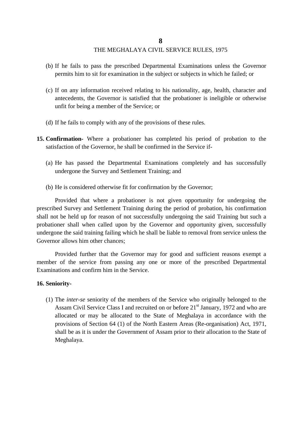- (b) If he fails to pass the prescribed Departmental Examinations unless the Governor permits him to sit for examination in the subject or subjects in which he failed; or
- (c) If on any information received relating to his nationality, age, health, character and antecedents, the Governor is satisfied that the probationer is ineligible or otherwise unfit for being a member of the Service; or
- (d) If he fails to comply with any of the provisions of these rules.
- **15. Confirmation-** Where a probationer has completed his period of probation to the satisfaction of the Governor, he shall be confirmed in the Service if-
	- (a) He has passed the Departmental Examinations completely and has successfully undergone the Survey and Settlement Training; and
	- (b) He is considered otherwise fit for confirmation by the Governor;

Provided that where a probationer is not given opportunity for undergoing the prescribed Survey and Settlement Training during the period of probation, his confirmation shall not be held up for reason of not successfully undergoing the said Training but such a probationer shall when called upon by the Governor and opportunity given, successfully undergone the said training failing which he shall be liable to removal from service unless the Governor allows him other chances;

Provided further that the Governor may for good and sufficient reasons exempt a member of the service from passing any one or more of the prescribed Departmental Examinations and confirm him in the Service.

#### **16. Seniority-**

(1) The *inter-se* seniority of the members of the Service who originally belonged to the Assam Civil Service Class I and recruited on or before 21<sup>st</sup> January, 1972 and who are allocated or may be allocated to the State of Meghalaya in accordance with the provisions of Section 64 (1) of the North Eastern Areas (Re-organisation) Act, 1971, shall be as it is under the Government of Assam prior to their allocation to the State of Meghalaya.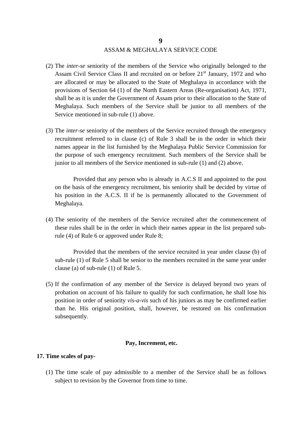### ASSAM & MEGHALAYA SERVICE CODE

- (2) The *inter-se* seniority of the members of the Service who originally belonged to the Assam Civil Service Class II and recruited on or before  $21<sup>st</sup>$  January, 1972 and who are allocated or may be allocated to the State of Meghalaya in accordance with the provisions of Section 64 (1) of the North Eastern Areas (Re-organisation) Act, 1971, shall be as it is under the Government of Assam prior to their allocation to the State of Meghalaya. Such members of the Service shall be junior to all members of the Service mentioned in sub-rule (1) above.
- (3) The *inter-se* seniority of the members of the Service recruited through the emergency recruitment referred to in clause (c) of Rule 3 shall be in the order in which their names appear in the list furnished by the Meghalaya Public Service Commission for the purpose of such emergency recruitment. Such members of the Service shall be junior to all members of the Service mentioned in sub-rule (1) and (2) above.

Provided that any person who is already in A.C.S II and appointed to the post on the basis of the emergency recruitment, his seniority shall be decided by virtue of his position in the A.C.S. II if he is permanently allocated to the Government of Meghalaya.

(4) The seniority of the members of the Service recruited after the commencement of these rules shall be in the order in which their names appear in the list prepared subrule (4) of Rule 6 or approved under Rule 8;

Provided that the members of the service recruited in year under clause (b) of sub-rule (1) of Rule 5 shall be senior to the members recruited in the same year under clause (a) of sub-rule (1) of Rule 5.

(5) If the confirmation of any member of the Service is delayed beyond two years of probation on account of his failure to qualify for such confirmation, he shall lose his position in order of seniority *vis-a-vis* such of his juniors as may be confirmed earlier than he. His original position, shall, however, be restored on his confirmation subsequently.

#### **Pay, Increment, etc.**

#### **17. Time scales of pay-**

(1) The time scale of pay admissible to a member of the Service shall be as follows subject to revision by the Governor from time to time.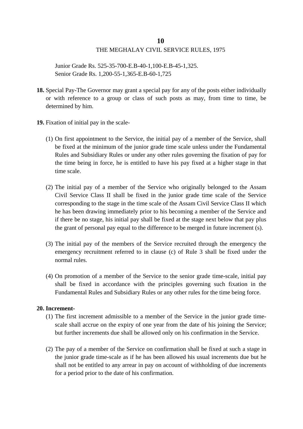Junior Grade Rs. 525-35-700-E.B-40-1,100-E.B-45-1,325. Senior Grade Rs. 1,200-55-1,365-E.B-60-1,725

- **18.** Special Pay-The Governor may grant a special pay for any of the posts either individually or with reference to a group or class of such posts as may, from time to time, be determined by him.
- **19.** Fixation of initial pay in the scale-
	- (1) On first appointment to the Service, the initial pay of a member of the Service, shall be fixed at the minimum of the junior grade time scale unless under the Fundamental Rules and Subsidiary Rules or under any other rules governing the fixation of pay for the time being in force, he is entitled to have his pay fixed at a higher stage in that time scale.
	- (2) The initial pay of a member of the Service who originally belonged to the Assam Civil Service Class II shall be fixed in the junior grade time scale of the Service corresponding to the stage in the time scale of the Assam Civil Service Class II which he has been drawing immediately prior to his becoming a member of the Service and if there be no stage, his initial pay shall be fixed at the stage next below that pay plus the grant of personal pay equal to the difference to be merged in future increment (s).
	- (3) The initial pay of the members of the Service recruited through the emergency the emergency recruitment referred to in clause (c) of Rule 3 shall be fixed under the normal rules.
	- (4) On promotion of a member of the Service to the senior grade time-scale, initial pay shall be fixed in accordance with the principles governing such fixation in the Fundamental Rules and Subsidiary Rules or any other rules for the time being force.

#### **20. Increment-**

- (1) The first increment admissible to a member of the Service in the junior grade timescale shall accrue on the expiry of one year from the date of his joining the Service; but further increments due shall be allowed only on his confirmation in the Service.
- (2) The pay of a member of the Service on confirmation shall be fixed at such a stage in the junior grade time-scale as if he has been allowed his usual increments due but he shall not be entitled to any arrear in pay on account of withholding of due increments for a period prior to the date of his confirmation.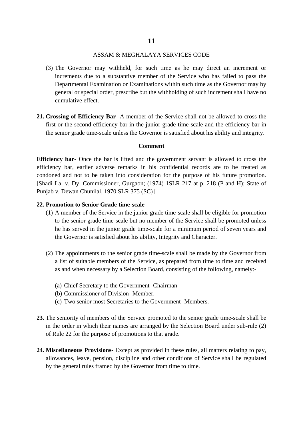#### ASSAM & MEGHALAYA SERVICES CODE

- (3) The Governor may withheld, for such time as he may direct an increment or increments due to a substantive member of the Service who has failed to pass the Departmental Examination or Examinations within such time as the Governor may by general or special order, prescribe but the withholding of such increment shall have no cumulative effect.
- **21. Crossing of Efficiency Bar-** A member of the Service shall not be allowed to cross the first or the second efficiency bar in the junior grade time-scale and the efficiency bar in the senior grade time-scale unless the Governor is satisfied about his ability and integrity.

#### **Comment**

**Efficiency bar**- Once the bar is lifted and the government servant is allowed to cross the efficiency bar, earlier adverse remarks in his confidential records are to be treated as condoned and not to be taken into consideration for the purpose of his future promotion. [Shadi Lal v. Dy. Commissioner, Gurgaon; (1974) 1SLR 217 at p. 218 (P and H); State of Punjab v. Dewan Chunilal, 1970 SLR 375 (SC)]

#### **22. Promotion to Senior Grade time-scale-**

- (1) A member of the Service in the junior grade time-scale shall be eligible for promotion to the senior grade time-scale but no member of the Service shall be promoted unless he has served in the junior grade time-scale for a minimum period of seven years and the Governor is satisfied about his ability, Integrity and Character.
- (2) The appointments to the senior grade time-scale shall be made by the Governor from a list of suitable members of the Service, as prepared from time to time and received as and when necessary by a Selection Board, consisting of the following, namely:-
	- (a) Chief Secretary to the Government- Chairman
	- (b) Commissioner of Division- Member.
	- (c) Two senior most Secretaries to the Government- Members.
- **23.** The seniority of members of the Service promoted to the senior grade time-scale shall be in the order in which their names are arranged by the Selection Board under sub-rule (2) of Rule 22 for the purpose of promotions to that grade.
- **24. Miscellaneous Provisions-** Except as provided in these rules, all matters relating to pay, allowances, leave, pension, discipline and other conditions of Service shall be regulated by the general rules framed by the Governor from time to time.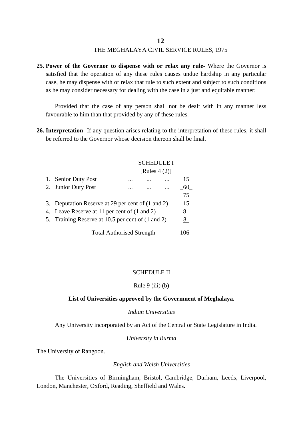**25. Power of the Governor to dispense with or relax any rule-** Where the Governor is satisfied that the operation of any these rules causes undue hardship in any particular case, he may dispense with or relax that rule to such extent and subject to such conditions as he may consider necessary for dealing with the case in a just and equitable manner;

Provided that the case of any person shall not be dealt with in any manner less favourable to him than that provided by any of these rules.

**26. Interpretation-** If any question arises relating to the interpretation of these rules, it shall be referred to the Governor whose decision thereon shall be final.

#### SCHEDULE I

#### [Rules  $4(2)$ ]

| 1.                               | <b>Senior Duty Post</b>                           | . |  |  | 15  |
|----------------------------------|---------------------------------------------------|---|--|--|-----|
|                                  | 2. Junior Duty Post                               |   |  |  | 60  |
|                                  |                                                   |   |  |  | 75  |
|                                  | 3. Deputation Reserve at 29 per cent of (1 and 2) |   |  |  | 15  |
|                                  | 4. Leave Reserve at 11 per cent of (1 and 2)      |   |  |  | 8   |
|                                  | 5. Training Reserve at 10.5 per cent of (1 and 2) |   |  |  | 8   |
| <b>Total Authorised Strength</b> |                                                   |   |  |  | 106 |

#### SCHEDULE II

#### Rule  $9$  (iii) (b)

#### **List of Universities approved by the Government of Meghalaya.**

#### *Indian Universities*

Any University incorporated by an Act of the Central or State Legislature in India.

#### *University in Burma*

The University of Rangoon.

#### *English and Welsh Universities*

The Universities of Birmingham, Bristol, Cambridge, Durham, Leeds, Liverpool, London, Manchester, Oxford, Reading, Sheffield and Wales.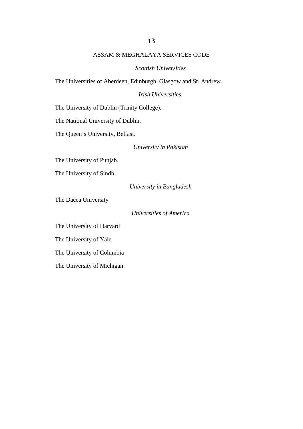#### ASSAM & MEGHALAYA SERVICES CODE

*Scottish Universities*

The Universities of Aberdeen, Edinburgh, Glasgow and St. Andrew.

*Irish Universities.*

The University of Dublin (Trinity College).

The National University of Dublin.

The Queen's University, Belfast.

*University in Pakistan*

The University of Punjab.

The University of Sindh.

*University in Bangladesh*

The Dacca University

*Universities of America*

The University of Harvard

The University of Yale

The University of Columbia

The University of Michigan.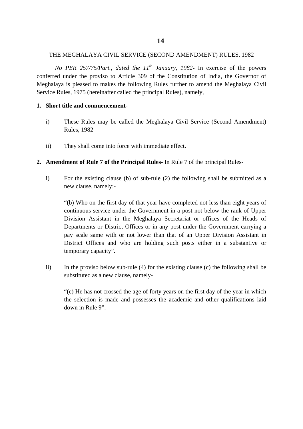#### THE MEGHALAYA CIVIL SERVICE (SECOND AMENDMENT) RULES, 1982

*No PER 257/75/Part., dated the 11th January, 1982***-** In exercise of the powers conferred under the proviso to Article 309 of the Constitution of India, the Governor of Meghalaya is pleased to makes the following Rules further to amend the Meghalaya Civil Service Rules, 1975 (hereinafter called the principal Rules), namely,

#### **1. Short title and commencement-**

- i) These Rules may be called the Meghalaya Civil Service (Second Amendment) Rules, 1982
- ii) They shall come into force with immediate effect.
- **2. Amendment of Rule 7 of the Principal Rules-** In Rule 7 of the principal Rules
	- i) For the existing clause (b) of sub-rule (2) the following shall be submitted as a new clause, namely:-

"(b) Who on the first day of that year have completed not less than eight years of continuous service under the Government in a post not below the rank of Upper Division Assistant in the Meghalaya Secretariat or offices of the Heads of Departments or District Offices or in any post under the Government carrying a pay scale same with or not lower than that of an Upper Division Assistant in District Offices and who are holding such posts either in a substantive or temporary capacity".

ii) In the proviso below sub-rule (4) for the existing clause (c) the following shall be substituted as a new clause, namely-

"(c) He has not crossed the age of forty years on the first day of the year in which the selection is made and possesses the academic and other qualifications laid down in Rule 9".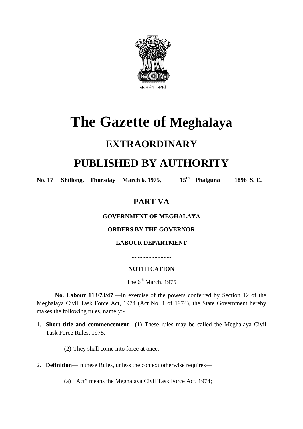

# **The Gazette of Meghalaya**

# **EXTRAORDINARY**

# **PUBLISHED BY AUTHORITY**

No. 17 **Shillong, Thursday March 6, 1975,** 15<sup>th</sup> **Phalguna** 1896 S. E.

# **PART VA**

## **GOVERNMENT OF MEGHALAYA**

## **ORDERS BY THE GOVERNOR**

# **LABOUR DEPARTMENT**

**..........................**

## **NOTIFICATION**

The  $6<sup>th</sup>$  March, 1975

**No. Labour 113/73/47**.—In exercise of the powers conferred by Section 12 of the Meghalaya Civil Task Force Act, 1974 (Act No. 1 of 1974), the State Government hereby makes the following rules, namely:-

1. **Short title and commencement**—(1) These rules may be called the Meghalaya Civil Task Force Rules, 1975.

(2) They shall come into force at once.

2. **Definition**—In these Rules, unless the context otherwise requires—

(a) "Act" means the Meghalaya Civil Task Force Act, 1974;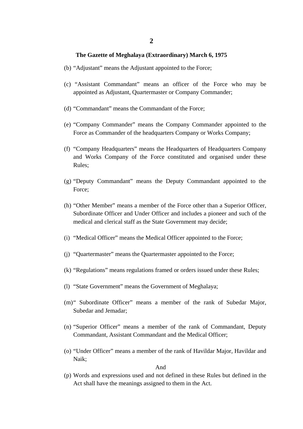- (b) "Adjustant" means the Adjustant appointed to the Force;
- (c) "Assistant Commandant" means an officer of the Force who may be appointed as Adjustant, Quartermaster or Company Commander;
- (d) "Commandant" means the Commandant of the Force;
- (e) "Company Commander" means the Company Commander appointed to the Force as Commander of the headquarters Company or Works Company;
- (f) "Company Headquarters" means the Headquarters of Headquarters Company and Works Company of the Force constituted and organised under these Rules;
- (g) "Deputy Commandant" means the Deputy Commandant appointed to the Force;
- (h) "Other Member" means a member of the Force other than a Superior Officer, Subordinate Officer and Under Officer and includes a pioneer and such of the medical and clerical staff as the State Government may decide;
- (i) "Medical Officer" means the Medical Officer appointed to the Force;
- (j) "Quartermaster" means the Quartermaster appointed to the Force;
- (k) "Regulations" means regulations framed or orders issued under these Rules;
- (l) "State Government" means the Government of Meghalaya;
- (m)" Subordinate Officer" means a member of the rank of Subedar Major, Subedar and Jemadar;
- (n) "Superior Officer" means a member of the rank of Commandant, Deputy Commandant, Assistant Commandant and the Medical Officer;
- (o) "Under Officer" means a member of the rank of Havildar Major, Havildar and Naik;

#### And

(p) Words and expressions used and not defined in these Rules but defined in the Act shall have the meanings assigned to them in the Act.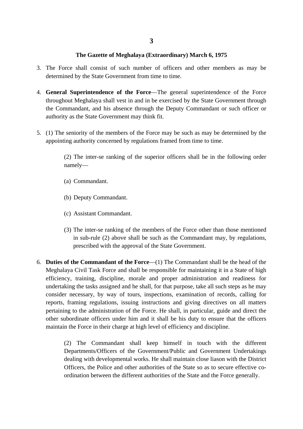- 3. The Force shall consist of such number of officers and other members as may be determined by the State Government from time to time.
- 4. **General Superintendence of the Force**—The general superintendence of the Force throughout Meghalaya shall vest in and in be exercised by the State Government through the Commandant, and his absence through the Deputy Commandant or such officer or authority as the State Government may think fit.
- 5. (1) The seniority of the members of the Force may be such as may be determined by the appointing authority concerned by regulations framed from time to time.

(2) The inter-se ranking of the superior officers shall be in the following order namely—

- (a) Commandant.
- (b) Deputy Commandant.
- (c) Assistant Commandant.
- (3) The inter-se ranking of the members of the Force other than those mentioned in sub-rule (2) above shall be such as the Commandant may, by regulations, prescribed with the approval of the State Government.
- 6. **Duties of the Commandant of the Force**—(1) The Commandant shall be the head of the Meghalaya Civil Task Force and shall be responsible for maintaining it in a State of high efficiency, training, discipline, morale and proper administration and readiness for undertaking the tasks assigned and he shall, for that purpose, take all such steps as he may consider necessary, by way of tours, inspections, examination of records, calling for reports, framing regulations, issuing instructions and giving directives on all matters pertaining to the administration of the Force. He shall, in particular, guide and direct the other subordinate officers under him and it shall be his duty to ensure that the officers maintain the Force in their charge at high level of efficiency and discipline.

(2) The Commandant shall keep himself in touch with the different Departments/Officers of the Government/Public and Government Undertakings dealing with developmental works. He shall maintain close liason with the District Officers, the Police and other authorities of the State so as to secure effective coordination between the different authorities of the State and the Force generally.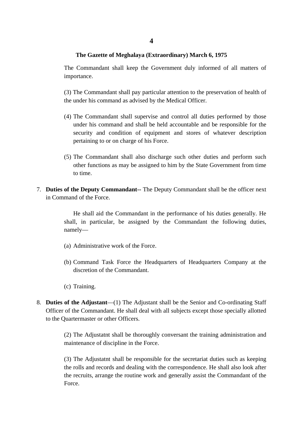The Commandant shall keep the Government duly informed of all matters of importance.

(3) The Commandant shall pay particular attention to the preservation of health of the under his command as advised by the Medical Officer.

- (4) The Commandant shall supervise and control all duties performed by those under his command and shall be held accountable and be responsible for the security and condition of equipment and stores of whatever description pertaining to or on charge of his Force.
- (5) The Commandant shall also discharge such other duties and perform such other functions as may be assigned to him by the State Government from time to time.
- 7. **Duties of the Deputy Commandant--** The Deputy Commandant shall be the officer next in Command of the Force.

He shall aid the Commandant in the performance of his duties generally. He shall, in particular, be assigned by the Commandant the following duties, namely—

- (a) Administrative work of the Force.
- (b) Command Task Force the Headquarters of Headquarters Company at the discretion of the Commandant.
- (c) Training.
- 8. **Duties of the Adjustant**—(1) The Adjustant shall be the Senior and Co-ordinating Staff Officer of the Commandant. He shall deal with all subjects except those specially allotted to the Quartermaster or other Officers.

(2) The Adjustatnt shall be thoroughly conversant the training administration and maintenance of discipline in the Force.

(3) The Adjustatnt shall be responsible for the secretariat duties such as keeping the rolls and records and dealing with the correspondence. He shall also look after the recruits, arrange the routine work and generally assist the Commandant of the Force.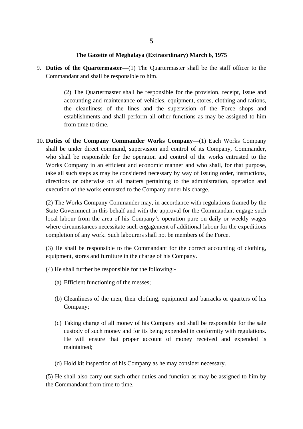9. **Duties of the Quartermaster**—(1) The Quartermaster shall be the staff officer to the Commandant and shall be responsible to him.

> (2) The Quartermaster shall be responsible for the provision, receipt, issue and accounting and maintenance of vehicles, equipment, stores, clothing and rations, the cleanliness of the lines and the supervision of the Force shops and establishments and shall perform all other functions as may be assigned to him from time to time.

10. **Duties of the Company Commander Works Company**—(1) Each Works Company shall be under direct command, supervision and control of its Company, Commander, who shall be responsible for the operation and control of the works entrusted to the Works Company in an efficient and economic manner and who shall, for that purpose, take all such steps as may be considered necessary by way of issuing order, instructions, directions or otherwise on all matters pertaining to the administration, operation and execution of the works entrusted to the Company under his charge.

(2) The Works Company Commander may, in accordance with regulations framed by the State Government in this behalf and with the approval for the Commandant engage such local labour from the area of his Company's operation pure on daily or weekly wages where circumstances necessitate such engagement of additional labour for the expeditious completion of any work. Such labourers shall not be members of the Force.

(3) He shall be responsible to the Commandant for the correct accounting of clothing, equipment, stores and furniture in the charge of his Company.

(4) He shall further be responsible for the following:-

- (a) Efficient functioning of the messes;
- (b) Cleanliness of the men, their clothing, equipment and barracks or quarters of his Company;
- (c) Taking charge of all money of his Company and shall be responsible for the sale custody of such money and for its being expended in conformity with regulations. He will ensure that proper account of money received and expended is maintained;
- (d) Hold kit inspection of his Company as he may consider necessary.

(5) He shall also carry out such other duties and function as may be assigned to him by the Commandant from time to time.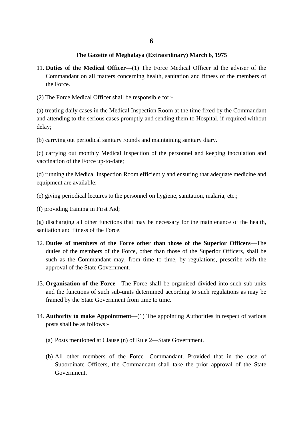- 11. **Duties of the Medical Officer**—(1) The Force Medical Officer id the adviser of the Commandant on all matters concerning health, sanitation and fitness of the members of the Force.
- (2) The Force Medical Officer shall be responsible for:-

(a) treating daily cases in the Medical Inspection Room at the time fixed by the Commandant and attending to the serious cases promptly and sending them to Hospital, if required without delay;

(b) carrying out periodical sanitary rounds and maintaining sanitary diary.

(c) carrying out monthly Medical Inspection of the personnel and keeping inoculation and vaccination of the Force up-to-date;

(d) running the Medical Inspection Room efficiently and ensuring that adequate medicine and equipment are available;

- (e) giving periodical lectures to the personnel on hygiene, sanitation, malaria, etc.;
- (f) providing training in First Aid;

(g) discharging all other functions that may be necessary for the maintenance of the health, sanitation and fitness of the Force.

- 12. **Duties of members of the Force other than those of the Superior Officers**—The duties of the members of the Force, other than those of the Superior Officers, shall be such as the Commandant may, from time to time, by regulations, prescribe with the approval of the State Government.
- 13. **Organisation of the Force**—The Force shall be organised divided into such sub-units and the functions of such sub-units determined according to such regulations as may be framed by the State Government from time to time.
- 14. **Authority to make Appointment**—(1) The appointing Authorities in respect of various posts shall be as follows:-
	- (a) Posts mentioned at Clause (n) of Rule 2—State Government.
	- (b) All other members of the Force—Commandant. Provided that in the case of Subordinate Officers, the Commandant shall take the prior approval of the State Government.